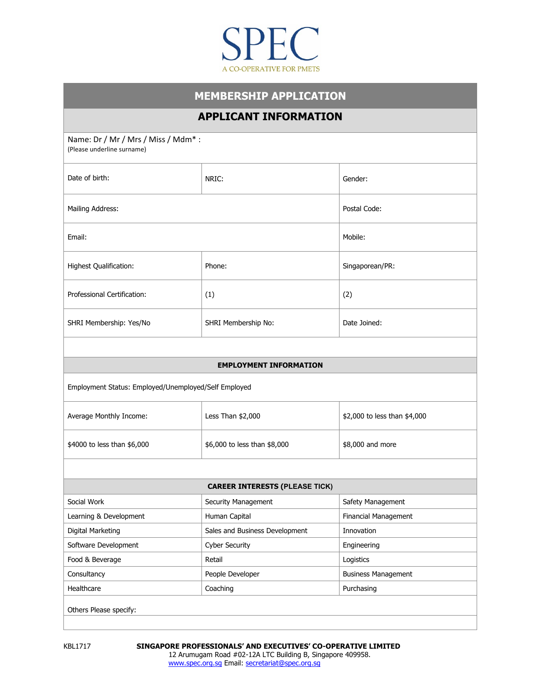

## **MEMBERSHIP APPLICATION**

## **APPLICANT INFORMATION**

| Name: Dr / Mr / Mrs / Miss / Mdm* :<br>(Please underline surname) |                                |                              |  |  |  |
|-------------------------------------------------------------------|--------------------------------|------------------------------|--|--|--|
| Date of birth:                                                    | NRIC:                          | Gender:                      |  |  |  |
| Mailing Address:                                                  |                                | Postal Code:                 |  |  |  |
| Email:                                                            |                                | Mobile:                      |  |  |  |
| Highest Qualification:                                            | Phone:                         | Singaporean/PR:              |  |  |  |
| Professional Certification:                                       | (1)                            | (2)                          |  |  |  |
| SHRI Membership: Yes/No                                           | SHRI Membership No:            | Date Joined:                 |  |  |  |
|                                                                   |                                |                              |  |  |  |
| <b>EMPLOYMENT INFORMATION</b>                                     |                                |                              |  |  |  |
| Employment Status: Employed/Unemployed/Self Employed              |                                |                              |  |  |  |
| Average Monthly Income:                                           | Less Than \$2,000              | \$2,000 to less than \$4,000 |  |  |  |
| \$4000 to less than \$6,000                                       | \$6,000 to less than \$8,000   | \$8,000 and more             |  |  |  |
|                                                                   |                                |                              |  |  |  |
| <b>CAREER INTERESTS (PLEASE TICK)</b>                             |                                |                              |  |  |  |
| Social Work                                                       | Security Management            | Safety Management            |  |  |  |
| Learning & Development                                            | Human Capital                  | Financial Management         |  |  |  |
| Digital Marketing                                                 | Sales and Business Development | Innovation                   |  |  |  |
| Software Development                                              | <b>Cyber Security</b>          | Engineering                  |  |  |  |
| Food & Beverage                                                   | Retail                         | Logistics                    |  |  |  |
| Consultancy                                                       | People Developer               | <b>Business Management</b>   |  |  |  |
| Healthcare                                                        | Coaching                       | Purchasing                   |  |  |  |
| Others Please specify:                                            |                                |                              |  |  |  |